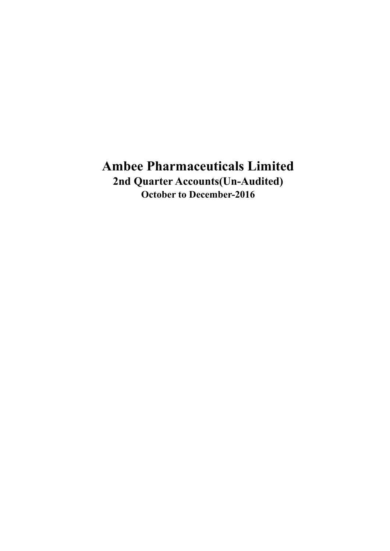# **Ambee Pharmaceuticals Limited 2nd Quarter Accounts(Un-Audited) October to December-2016**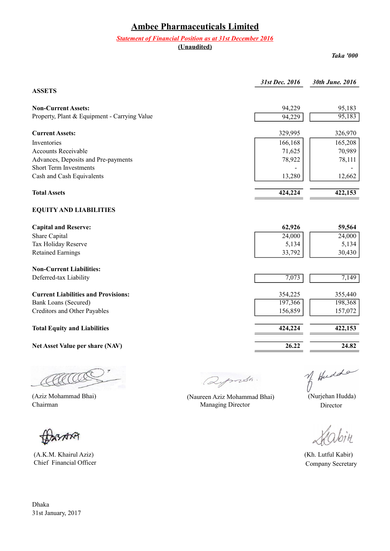# **Ambee Pharmaceuticals Limited**

#### *Statement of Financial Position as at 31st December 2016*

**(Unaudited)**

*Taka '000*

|                                              | 31st Dec. 2016 | 30th June. 2016 |
|----------------------------------------------|----------------|-----------------|
| <b>ASSETS</b>                                |                |                 |
| <b>Non-Current Assets:</b>                   | 94,229         | 95,183          |
| Property, Plant & Equipment - Carrying Value | 94,229         | 95,183          |
| <b>Current Assets:</b>                       | 329,995        | 326,970         |
| Inventories                                  | 166,168        | 165,208         |
| <b>Accounts Receivable</b>                   | 71,625         | 70,989          |
| Advances, Deposits and Pre-payments          | 78,922         | 78,111          |
| <b>Short Term Investments</b>                |                |                 |
| Cash and Cash Equivalents                    | 13,280         | 12,662          |
| <b>Total Assets</b>                          | 424,224        | 422,153         |
| <b>EQUITY AND LIABILITIES</b>                |                |                 |
| <b>Capital and Reserve:</b>                  | 62,926         | 59,564          |
| Share Capital                                | 24,000         | 24,000          |
| Tax Holiday Reserve                          | 5,134          | 5,134           |
| <b>Retained Earnings</b>                     | 33,792         | 30,430          |
| <b>Non-Current Liabilities:</b>              |                |                 |
| Deferred-tax Liability                       | 7,073          | 7,149           |
| <b>Current Liabilities and Provisions:</b>   | 354,225        | 355,440         |
| <b>Bank Loans (Secured)</b>                  | 197,366        | 198,368         |
| Creditors and Other Payables                 | 156,859        | 157,072         |
| <b>Total Equity and Liabilities</b>          | 424,224        | 422,153         |
| Net Asset Value per share (NAV)              | 26.22          | 24.82           |
|                                              |                |                 |

(Aziz Mohammad Bhai)<br>
(Aziz Mohammad Bhai) (Naureen Aziz Mohammad Bhai) (Nurjehan Hudda)<br>
Chairman Managing Director Director AACCO

XSARA

 (A.K.M. Khairul Aziz) (Kh. Lutful Kabir) Chief Financial Officer Company Secretary

Qymsh.

Managing Director Director

 $\dot{\gamma}$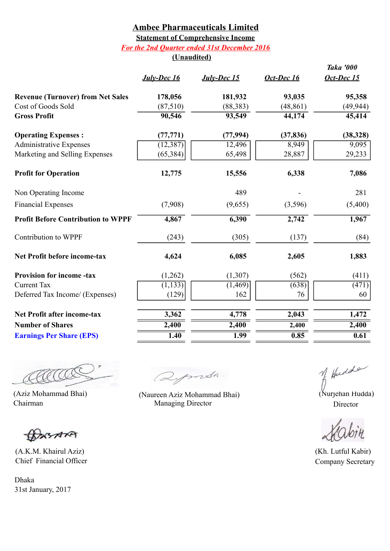### **Ambee Pharmaceuticals Limited Statement of Comprehensive Income** *For the 2nd Quarter ended 31st December 2016*

### **(Unaudited)**

|                                           |                    |                    |            | <b>Taka '000</b>   |
|-------------------------------------------|--------------------|--------------------|------------|--------------------|
|                                           | <b>July-Dec 16</b> | <b>July-Dec 15</b> | Oct-Dec 16 | Oct-Dec 15         |
| <b>Revenue (Turnover) from Net Sales</b>  | 178,056            | 181,932            | 93,035     | 95,358             |
| Cost of Goods Sold                        | (87,510)           | (88, 383)          | (48, 861)  | (49, 944)          |
| <b>Gross Profit</b>                       | 90,546             | 93,549             | 44,174     | 45,414             |
| <b>Operating Expenses:</b>                | (77, 771)          | (77, 994)          | (37, 836)  | (38, 328)          |
| <b>Administrative Expenses</b>            | (12, 387)          | 12,496             | 8,949      | 9,095              |
| Marketing and Selling Expenses            | (65, 384)          | 65,498             | 28,887     | 29,233             |
| <b>Profit for Operation</b>               | 12,775             | 15,556             | 6,338      | 7,086              |
| Non Operating Income                      |                    | 489                |            | 281                |
| <b>Financial Expenses</b>                 | (7,908)            | (9,655)            | (3,596)    | (5,400)            |
| <b>Profit Before Contribution to WPPF</b> | 4,867              | 6,390              | 2,742      | 1,967              |
| <b>Contribution to WPPF</b>               | (243)              | (305)              | (137)      | (84)               |
| <b>Net Profit before income-tax</b>       | 4,624              | 6,085              | 2,605      | 1,883              |
| <b>Provision for income-tax</b>           | (1,262)            | (1,307)            | (562)      | (411)              |
| <b>Current Tax</b>                        | (1, 133)           | (1,469)            | (638)      | $\overline{(471)}$ |
| Deferred Tax Income/ (Expenses)           | (129)              | 162                | 76         | 60                 |
| <b>Net Profit after income-tax</b>        | 3,362              | 4,778              | 2,043      | 1,472              |
| <b>Number of Shares</b>                   | 2,400              | 2,400              | 2,400      | 2,400              |
| <b>Earnings Per Share (EPS)</b>           | 1.40               | 1.99               | 0.85       | $\overline{0.61}$  |

AACCO

BASARA

 (A.K.M. Khairul Aziz) (Kh. Lutful Kabir) Chief Financial Officer Company Secretary

aymesa.

(Aziz Mohammad Bhai) (Naureen Aziz Mohammad Bhai) (Nurjehan Hudda) Chairman Managing Director Director Director

of Hudde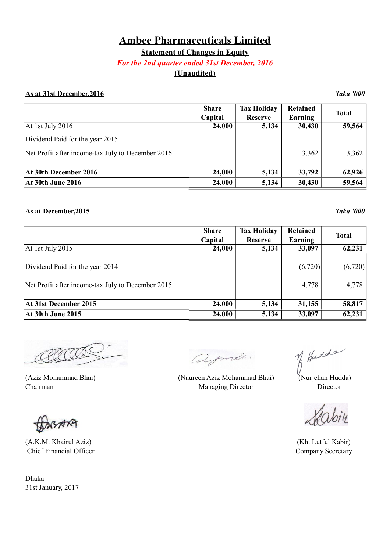## **Ambee Pharmaceuticals Limited**

**Statement of Changes in Equity**

#### *For the 2nd quarter ended 31st December, 2016*

### **(Unaudited)**

#### **As at 31st December,2016** *Taka '000*

|                                                   | <b>Share</b><br>Capital | <b>Tax Holiday</b><br><b>Reserve</b> | <b>Retained</b><br>Earning | <b>Total</b> |
|---------------------------------------------------|-------------------------|--------------------------------------|----------------------------|--------------|
| At 1st July 2016                                  | 24,000                  | 5,134                                | 30,430                     | 59,564       |
| Dividend Paid for the year 2015                   |                         |                                      |                            |              |
| Net Profit after income-tax July to December 2016 |                         |                                      | 3,362                      | 3,362        |
|                                                   |                         |                                      |                            |              |
| At 30th December 2016                             | 24,000                  | 5,134                                | 33,792                     | 62,926       |
| <b>At 30th June 2016</b>                          | 24,000                  | 5,134                                | 30,430                     | 59,564       |

#### **As at December,2015** *Taka '000*

**Share Tax Holiday Retained Total Capital Reserve Earning Total** At 1st July 2015 **24,000** 5,134 33,097 62,231 Dividend Paid for the year 2014 (6,720)  $(6,720)$  (6,720) Net Profit after income-tax July to December 2015  $\vert$  4,778 4,778 4,778 At 31st December 2015 24,000 5,134 31,155 58,817 **At 30th June 2015 24,000 5,134 33,097 62,231** 

SARA

(A.K.M. Khairul Aziz) (Kh. Lutful Kabir) Chief Financial Officer Company Secretary

Qymsh.

of Hudde

(Aziz Mohammad Bhai) (Naureen Aziz Mohammad Bhai) (Nurjehan Hudda) Chairman Director **Managing Director** Director